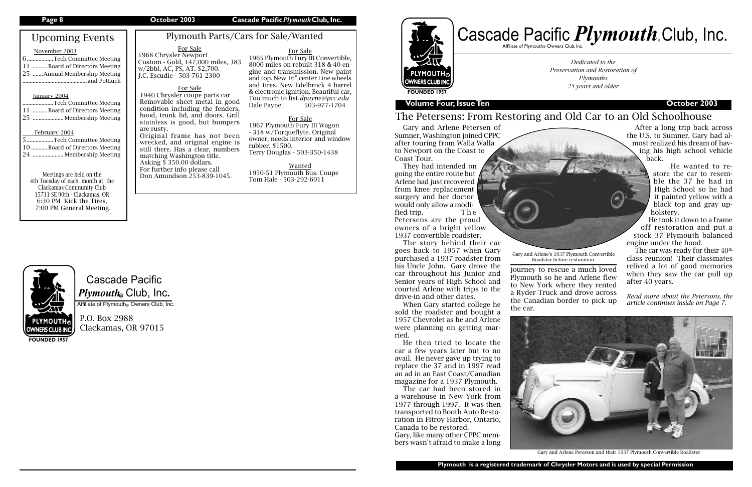# Cascade Pacific  $\boldsymbol{P} \boldsymbol{l}$ y*mouth*. Club, Inc.

Affiliate of Plymouth Owners Club, Inc.

P.O. Box 2988 Clackamas, OR 97015

# Upcoming Events

#### November 2003

| 6Tech Committee Meeting       |  |
|-------------------------------|--|
| 11 Board of Directors Meeting |  |
| 25 Annual Membership Meeting  |  |
|                               |  |
|                               |  |

#### January 2004

| Tech Committee Meeting        |  |
|-------------------------------|--|
| 11 Board of Directors Meeting |  |
| 25  Membership Meeting        |  |

#### February 2004

# Cascade Pacific *Plymouth*<sub>e</sub> Club, Inc. R

| 5Tech Committee Meeting        |
|--------------------------------|
| 10  Board of Directors Meeting |
| 24  Membership Meeting         |

Meetings are held on the 4th Tuesday of each month at the Clackamas Community Club 15711 SE 90th - Clackamas, OR 6:30 PM Kick the Tires, 7:00 PM General Meeting.

**FOUNDED 1957**

#### **Page 8 October 2003 Cascade Pacific***Plymouth***Club, Inc.**

*Dedicated to the Preservation and Restoration of Plymouths 25 years and older*



**Plymouth is a registered trademark of Chrysler Motors and is used by special Permission**

R

### **Volume Four, Issue Ten Contract Contract Contract Contract Contract Contract Contract Contract Contract Contract Contract Contract Contract Contract Contract Contract Contract Contract Contract Contract Contract Contrac**

# The Petersens: From Restoring and Old Car to an Old Schoolhouse

Plymouth Parts/Cars for Sale/Wanted

For Sale 1965 Plymouth Fury III Convertible, 8000 miles on rebuilt 318 & 40 engine and transmission. New paint and top. New 16" center Line wheels and tires. New Edelbrock 4 barrel & electronic ignition. Beautiful car, Too much to list.*dpayne@pcc.edu* Dale Payne 503-977-1704

For Sale 1967 Plymouth Fury III Wagon - 318 w/Torqueflyte. Original owner, needs interior and window rubber. \$1500. Terry Douglas - 503-350-1438

Wanted 1950-51 Plymouth Bus. Coupe Tom Hale - 503-292-6011

### For Sale 1968 Chrysler Newport

Custom - Gold, 147,000 miles, 383 w/2bbl, AC, PS, AT. \$2,700. J.C. Escudie - 503-761-2300

> The car was ready for their  $40<sup>th</sup>$ class reunion! Their classmates relived a lot of good memories when they saw the car pull up after 40 years.

journey to rescue a much loved Plymouth so he and Arlene flew to New York where they rented a Ryder Truck and drove across the Canadian border to pick up the car.







Gary and Arlene Peterson and their 1937 Plymouth Convertible Roadster

Gary and Arlene Petersen of Sumner, Washington joined CPPC after touring from Walla Walla to Newport on the Coast to Coast Tour.

They had intended on going the entire route but Arlene had just recovered from knee replacement surgery and her doctor would only allow a modified trip. The Petersens are the proud owners of a bright yellow 1937 convertible roadster.

The story behind their car goes back to 1957 when Gary purchased a 1937 roadster from his Uncle John. Gary drove the car throughout his Junior and Senior years of High School and courted Arlene with trips to the drive-in and other dates.

When Gary started college he sold the roadster and bought a 1957 Chevrolet as he and Arlene were planning on getting married.

He then tried to locate the car a few years later but to no avail. He never gave up trying to replace the 37 and in 1997 read an ad in an East Coast/Canadian magazine for a 1937 Plymouth.

The car had been stored in a warehouse in New York from 1977 through 1997. It was then transported to Booth Auto Restoration in Fitroy Harbor, Ontario, Canada to be restored.

Gary, like many other CPPC members wasn't afraid to make a long

After a long trip back across the U.S. to Sumner, Gary had almost realized his dream of having his high school vehicle back.

> He wanted to restore the car to resemble the 37 he had in High School so he had it painted yellow with a black top and gray upholstery.

He took it down to a frame off restoration and put a stock 37 Plymouth balanced engine under the hood.

*Read more about the Petersons, the article continues inside on Page 7.* 

Gary and Arlene's 1937 Plymouth Convertible Roadster before restoration.

### For Sale

1940 Chrysler coupe parts car Removable sheet metal in good condition including the fenders, hood, trunk lid, and doors. Grill stainless is good, but bumpers are rusty. Original frame has not been wrecked, and original engine is

still there. Has a clear, numbers matching Washington title. Asking  $\frac{5}{9}$  350.00 dollars. For further info please call Don Amundson 253-839-1045.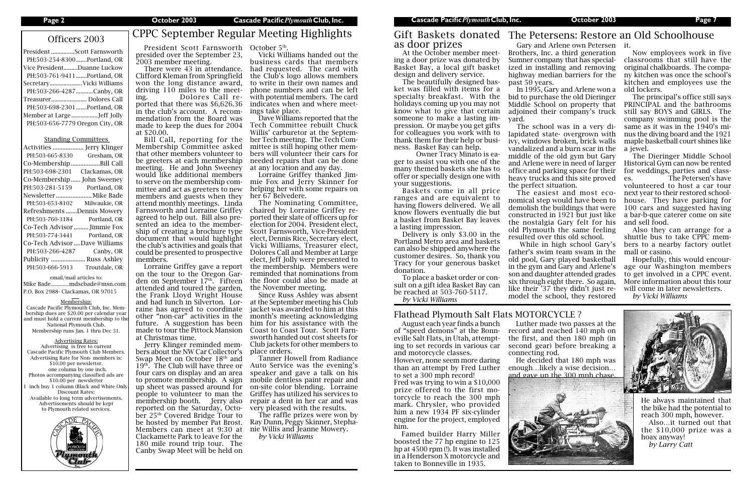| President Scott Farnsworth      |
|---------------------------------|
| PH:503-254-8300Portland, OR     |
| Vice PresidentDuanne Luckow     |
| PH:503-761-9411Portland, OR     |
| Secretary Vicki Williams        |
| PH:503-266-4287Canby, OR        |
| Treasurer Dolores Call          |
| PH:503-698-2301 Portland, OR    |
| Member at LargeJeff Jolly       |
| PH:503-656-7779 Oregon City, OR |

#### Standing Committees

| Activities                    | . Jerry Klinger    |
|-------------------------------|--------------------|
| PH:503-665-8330               | Gresham, OR        |
| Co-Membership.                | Bill Call          |
| PH:503-698-2301               | Clackamas, OR      |
| Co-Membership John Sweeney    |                    |
| PH:503-281-5159               | Portland, OR       |
| Newsletter                    | Mike Bade          |
| PH:503-653-8102               | Milwaukie, OR      |
| Refreshments Dennis Mowery    |                    |
| PH:503-760-3184               | Portland, OR       |
| Co-Tech Advisor  Jimmie Fox   |                    |
| PH:503-774-3441               | Portland, OR       |
| Co-Tech Advisor Dave Williams |                    |
| PH:503-266-4287               | Canby, OR          |
| Publicity                     | <b>Russ Ashley</b> |
| PH:503-666-5913               | Troutdale, OR      |
|                               |                    |

President Scott Farnsworth October 5<sup>th</sup>. presided over the September 23,

email/mail articles to: Mike Bade..............mdscbade@msn.com P.O. Box 2988- Clackamas, OR 97015

#### Membership:

Cascade Pacific Plymouth Club, Inc. Membership dues are \$20.00 per calendar year and must hold a current membership to th National Plymouth Club. Membership runs Jan. 1 thru Dec 31.

#### Advertising Rates:

Advertising is free to current Cascade Pacific Plymouth Club Members. Advertising Rate for Non- members is: \$10.00 per newsletter. one column by one inch. Photos accompanying classified ads are \$10.00 per newsletter inch buy 1 column (Black and White Only Discount Rates: Available to long term advertisements. Advertisements should be kept to Plymouth related services.



# Officers 2003 CPPC September Regular Meeting Highlights

2003 member meeting. There were 43 in attendance. Clifford Kleman from Springfield won the long distance award, driving 110 miles to the meeting. Dolores Call reported that there was \$6,626.36 in the club's account. A recommendation from the Board was made to keep the dues for 2004 at \$20.00.

Bill Call, reporting for the Membership Committee asked that other members volunteer to be greeters at each membership meeting. He and John Sweeney would like additional members to serve on the membership committee and act as greeters to new members and guests when they attend monthly meetings. Linda Farnsworth and Lorraine Griffey agreed to help out. Bill also presented an idea to the membership of creating a brochure type document that would highlight the club's activities and goals that could be presented to prospective members.

Lorraine Griffey gave a report on the tour to the Oregon Garden on September 17<sup>th</sup>. Fifteen attended and toured the garden, the Frank Lloyd Wright House and had lunch in Silverton. Lorraine has agreed to coordinate other "non-car" activities in the future. A suggestion has been made to tour the Pittock Mansion at Christmas time.

Jerry Klinger reminded members about the NW Car Collector's Swap Meet on October 18<sup>th</sup> and  $19<sup>th</sup>$ . The Club will have three or four cars on display and an area to promote membership. A sign up sheet was passed around for people to volunteer to man the membership booth. Jerry also reported on the Saturday, October 25th Covered Bridge Tour to be hosted by member Pat Brost. Members can meet at 9:30 at Clackamette Park to leave for the 180 mile round trip tour. The Canby Swap Meet will be held on

At the October member meeting a door prize was donated by Basket Bay, a local gift basket design and delivery service.

The beautifully designed basket was filled with items for a specialty breakfast. With the holidays coming up you may not know what to give that certain someone to make a lasting impression. Or maybe you get gifts for colleagues you work with to thank them for their help or business. Basket Bay can help.

 Owner Tracy Minato is eager to assist you with one of the many themed baskets she has to offer or specially design one with your suggestions.

Baskets come in all price ranges and are equivalent to having flowers delivered. We all know flowers eventually die but a basket from Basket Bay leaves a lasting impression.

Delivery is only \$3.00 in the Portland Metro area and baskets can also be shipped anywhere the customer desires. So, thank you Tracy for your generous basket donation.

Famed builder Harry Miller boosted the 77 hp engine to 125 hp at 4500 rpm (!). It was installed in a Henderson X motorcycle and taken to Bonneville in 1935.

To place a basket order or consult on a gift idea Basket Bay can be reached at 503-760-5117. *by Vicki Williams*

Vicki Williams handed out the business cards that members had requested. The card with the Club's logo allows members to write in their own names and phone numbers and can be left with potential members. The card indicates when and where meetings take place.

Dave Williams reported that the Tech Committee rebuilt Chuck Willis' carburetor at the September Tech meeting. The Tech Committee is still hoping other members will volunteer their cars for needed repairs that can be done at any location and any day.

Lorraine Griffey thanked Jimmie Fox and Jerry Skinner for helping her with some repairs on her 67 Belvedere.

The Nominating Committee, chaired by Lorraine Griffey reported their slate of officers up for election for 2004. President elect, Scott Farnsworth, Vice-President elect, Dennis Rice, Secretary elect, Vicki Williams, Treasurer elect, Dolores Call and Member at Large elect, Jeff Jolly were presented to the membership. Members were reminded that nominations from the floor could also be made at the November meeting.

Since Russ Ashley was absent at the September meeting his Club jacket was awarded to him at this month's meeting acknowledging him for his assistance with the Coast to Coast Tour. Scott Farnsworth handed out cost sheets for Club jackets for other members to place orders.

Tanner Howell from Radiance Auto Service was the evening's speaker and gave a talk on his mobile dentless paint repair and on-site color blending. Lorraine Griffey has utilized his services to repair a dent in her car and was very pleased with the results.

The raffle prizes were won by Ray Dunn, Peggy Skinner, Stephanie Willis and Jeanne Mowery.

*by Vicki Williams*

Gary and Arlene own Petersen it. Brothers, Inc. a third generation Sumner company that has specialized in installing and removing highway median barriers for the past 50 years.

In 1995, Gary and Arlene won a bid to purchase the old Dieringer Middle School on property that adjoined their company's truck

yard.

The school was in a very dilapidated state- overgrown with ivy, windows broken, brick walls vandalized and a burn scar in the middle of the old gym but Gary and Arlene were in need of larger office and parking space for their heavy trucks and this site proved the perfect situation.

The easiest and most economical step would have been to demolish the buildings that were constructed in 1921 but just like the nostalgia Gary felt for his old Plymouth the same feeling resulted over this old school.

 While in high school Gary's father's swim team swam in the old pool, Gary played basketball in the gym and Gary and Arlene's son and daughter attended grades six through eight there. So again, like their '37 they didn't just remodel the school, they restored

Now employees work in five classrooms that still have the original chalkboards. The company kitchen was once the school's kitchen and employees use the old lockers.

The principal's office still says PRINCIPAL and the bathrooms still say BOYS and GIRLS. The company swimming pool is the same as it was in the 1940's minus the diving board and the 1921 maple basketball court shines like a jewel.

The Dieringer Middle School Historical Gym can now be rented for weddings, parties and classes. The Petersen's have volunteered to host a car tour next year to their restored schoolhouse. They have parking for 100 cars and suggested having a bar-b-que caterer come on site and sell food.

Also they can arrange for a shuttle bus to take CPPC members to a nearby factory outlet mall or casino.

Hopefully, this would encourage our Washington members to get involved in a CPPC event. More information about this tour will come in later newsletters.

*by Vicki Williams*



# Gift Baskets donated The Petersens: Restore an Old Schoolhouse

# as door prizes

August each year finds a bunch of "speed demons" at the Bonneville Salt Flats, in Utah, attempting to set records in various car and motorcycle classes. However, none seem more daring

than an attempt by Fred Luther to set a 300 mph record! Fred was trying to win a \$10,000

prize offered to the first motorcycle to reach the 300 mph mark. Chrysler, who provided him a new 1934 PF six-cylinder engine for the project, employed him.

### Flathead Plymouth Salt Flats MOTORCYCLE ?

Luther made two passes at the record and reached 140 mph on the first, and then 180 mph (in second gear) before breaking a connecting rod.

He decided that 180 mph was enough…likely a wise decision… and gave up the 300 mph chase.





He always maintained that the bike had the potential to reach 300 mph, however. Also…it turned out that the \$10,000 prize was a hoax anyway! *by Larry Catt*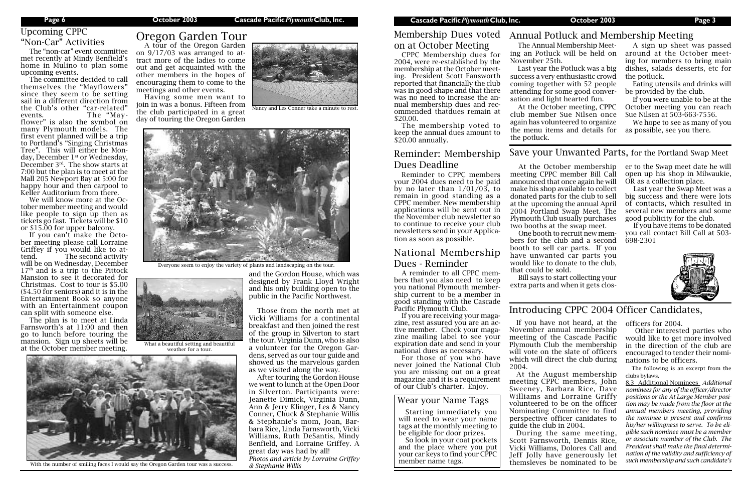#### **Page 6 October 2003 Cascade Pacific***Plymouth***Club, Inc. Cascade Pacific***Plymouth***Club, Inc. October 2003 Page 3**

## Upcoming CPPC "Non-Car" Activities

### Introducing CPPC 2004 Officer Candidates,

If you have not heard, at the November annual membership meeting of the Cascade Pacific Plymouth Club the membership will vote on the slate of officers which will direct the club during 2004.

At the August membership meeting CPPC members, John Sweeney, Barbara Rice, Dave Williams and Lorraine Griffy volunteered to be on the officer Nominating Committee to find perspective officer canidates to guide the club in 2004. During the same meeting, Scott Farnsworth, Dennis Rice,

Vicki Williams, Dolores Call and Jeff Jolly have generously let themsleves be nominated to be officers for 2004.

 Other interested parties who would like to get more involved in the direction of the club are encouraged to tender their nominations to be officers.

The following is an excerpt from the clubs bylaws.

8.3 Additional Nominees *Additional nominees for any of the officer/director positions or the At Large Member position may be made from the floor at the annual members meeting, providing the nominee is present and confirms his/her willingness to serve. To be eligible such nominee must be a member or associate member of the Club. The President shall make the final determination of the validity and sufficiency of such membership and such candidate's* 

The "non-car" event committee met recently at Mindy Benfield's home in Mulino to plan some upcoming events.

The committee decided to call themselves the "Mayflowers" since they seem to be setting sail in a different direction from the Club's other "car-related" events. The "Mayflower" is also the symbol on many Plymouth models. The first event planned will be a trip to Portland's "Singing Christmas Tree". This will either be Monday, December 1<sup>st</sup> or Wednesday, December 3rd. The show starts at 7:00 but the plan is to meet at the Mall 205 Newport Bay at 5:00 for happy hour and then carpool to Keller Auditorium from there.

The membership voted to keep the annual dues amount to \$20.00 annually.

We will know more at the October member meeting and would like people to sign up then as tickets go fast. Tickets will be \$10 or \$15.00 for upper balcony.

If you can't make the October meeting please call Lorraine Griffey if you would like to attend. The second activity will be on Wednesday, December  $17<sup>th</sup>$  and is a trip to the Pittock Mansion to see it decorated for Christmas. Cost to tour is \$5.00 (\$4.50 for seniors) and it is in the Entertainment Book so anyone with an Entertainment coupon can split with someone else.

The plan is to meet at Linda Farnsworth's at 11:00 and then go to lunch before touring the mansion. Sign up sheets will be at the October member meeting.

A tour of the Oregon Garden on 9/17/03 was arranged to attract more of the ladies to come out and get acquainted with the other members in the hopes of encouraging them to come to the meetings and other events.

Having some men want to join in was a bonus. Fifteen from the club participated in a great day of touring the Oregon Garden



# Oregon Garden Tour

and the Gordon House, which was designed by Frank Lloyd Wright and his only building open to the public in the Pacific Northwest.

Those from the north met at Vicki Williams for a continental breakfast and then joined the rest of the group in Silverton to start the tour. Virginia Dunn, who is also a volunteer for the Oregon Gardens, served as our tour guide and showed us the marvelous garden as we visited along the way.

After touring the Gordon House we went to lunch at the Open Door in Silverton. Participants were: Jeanette Dimick, Virginia Dunn, Ann & Jerry Klinger, Les & Nancy Conner, Chuck & Stephanie Willis & Stephanie's mom, Joan, Barbara Rice, Linda Farnsworth, Vicki Williams, Ruth DeSantis, Mindy Benfield, and Lorraine Griffey. A great day was had by all! *Photos and article by Lorraine Griffey* 

*& Stephanie Willis*

## Membership Dues voted on at October Meeting

CPPC Membership dues for 2004, were re-established by the membership at the October meeting. President Scott Fansworth reported that financially the club was in good shape and that there was no need to increase the annual membership dues and recommended thatdues remain at \$20.00.

### Reminder: Membership Dues Deadline

Reminder to CPPC members your 2004 dues need to be paid by no later than  $1/01/03$ , to remain in good standing as a CPPC member. New membership applications will be sent out in the November club newsletter so to continue to receive your club newsletters send in your Application as soon as possible.

### National Membership Dues - Reminder

A reminder to all CPPC members that you also need to keep you national Plymouth membership current to be a member in good standing with the Cascade Pacific Plymouth Club.

If you are receiving your magazine, rest assured you are an active member. Check your magazine mailing label to see your expiration date and send in your national dues as necessary.

For those of you who have never joined the National Club you are missing out on a great magazine and it is a requirement of our Club's charter. Enjoy.

The Annual Membership Meet-November 25th.

Last year the Potluck was a big success a very enthusiastic crowd coming together with 52 people attending for some good conversation and light hearted fun.

ing an Potluck will be held on around at the October meet-A sign up sheet was passed ing for members to bring main dishes, salads desserts, etc for the potluck.

At the October meeting, CPPC club member Sue Nilsen once again has volunteered to organize the menu items and details for the potluck.

### Annual Potluck and Membership Meeting

Eating utensils and drinks will be provided by the club.

If you were unable to be at the October meeting you can reach Sue Nilsen at 503-663-7556.

We hope to see as many of you as possible, see you there.

At the October membership meeting CPPC member Bill Call announced that once again he will make his shop available to collect donated parts for the club to sell at the upcoming the annual April 2004 Portland Swap Meet. The Plymouth Club usually purchases two booths at the swap meet.

One booth to recruit new members for the club and a second booth to sell car parts. If you have unwanted car parts you would like to donate to the club, that could be sold.

Bill says to start collecting your extra parts and when it gets closer to the Swap meet date he will open up his shop in Milwaukie, OR as a collection place.

Last year the Swap Meet was a big success and there were lots of contacts, which resulted in several new members and some good publicity for the club.

If you have items to be donated you call contact Bill Call at 503- 698-2301



### Save your Unwanted Parts, for the Portland Swap Meet

### Wear your Name Tags

Starting immediately you will need to wear your name tags at the monthly meeting to be eligible for door prizes.

So look in your coat pockets and the place where you put your car keys to find your CPPC member name tags.

Nancy and Les Conner take a minute to rest.



Everyone seem to enjoy the variety of plants and landscaping on the tour.



weather for a tour.



With the number of smiling faces I would say the Oregon Garden tour was a success.